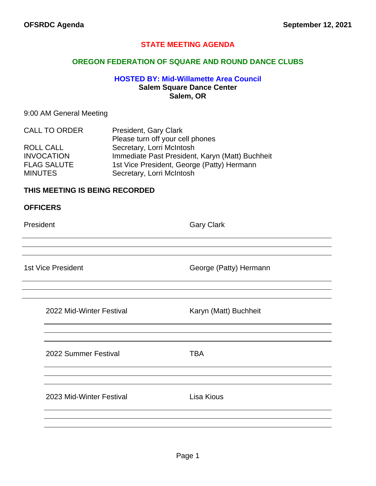## **STATE MEETING AGENDA**

#### **OREGON FEDERATION OF SQUARE AND ROUND DANCE CLUBS**

### **HOSTED BY: Mid-Willamette Area Council Salem Square Dance Center Salem, OR**

#### 9:00 AM General Meeting

| <b>CALL TO ORDER</b> | President, Gary Clark                           |
|----------------------|-------------------------------------------------|
|                      | Please turn off your cell phones                |
| <b>ROLL CALL</b>     | Secretary, Lorri McIntosh                       |
| <b>INVOCATION</b>    | Immediate Past President, Karyn (Matt) Buchheit |
| <b>FLAG SALUTE</b>   | 1st Vice President, George (Patty) Hermann      |
| <b>MINUTES</b>       | Secretary, Lorri McIntosh                       |

#### **THIS MEETING IS BEING RECORDED**

President **Gary Clark** 

1st Vice President **George (Patty)** Hermann

| 2022 Mid-Winter Festival | Karyn (Matt) Buchheit |
|--------------------------|-----------------------|
|                          |                       |
|                          |                       |
|                          |                       |

2022 Summer Festival **TBA** 2023 Mid-Winter Festival Lisa Kious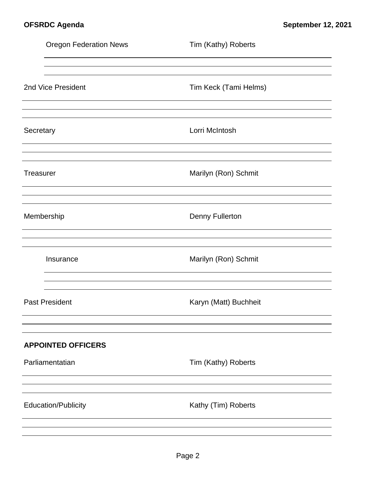|           | <b>Oregon Federation News</b> | Tim (Kathy) Roberts    |
|-----------|-------------------------------|------------------------|
|           |                               |                        |
|           | 2nd Vice President            | Tim Keck (Tami Helms)  |
|           |                               |                        |
| Secretary |                               | Lorri McIntosh         |
|           |                               |                        |
| Treasurer |                               | Marilyn (Ron) Schmit   |
|           |                               |                        |
|           | Membership                    | <b>Denny Fullerton</b> |
|           |                               |                        |
|           | Insurance                     | Marilyn (Ron) Schmit   |
|           |                               |                        |
|           | <b>Past President</b>         | Karyn (Matt) Buchheit  |
|           |                               |                        |
|           | <b>APPOINTED OFFICERS</b>     |                        |
|           | Parliamentatian               | Tim (Kathy) Roberts    |
|           |                               |                        |
|           | <b>Education/Publicity</b>    | Kathy (Tim) Roberts    |
|           |                               |                        |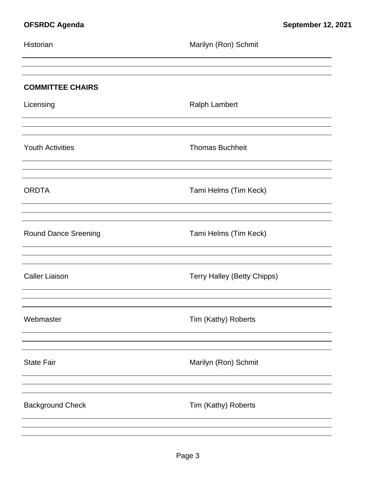| Historian                   | Marilyn (Ron) Schmit               |
|-----------------------------|------------------------------------|
| <b>COMMITTEE CHAIRS</b>     |                                    |
| Licensing                   | <b>Ralph Lambert</b>               |
| <b>Youth Activities</b>     | <b>Thomas Buchheit</b>             |
| <b>ORDTA</b>                | Tami Helms (Tim Keck)              |
| <b>Round Dance Sreening</b> | Tami Helms (Tim Keck)              |
| <b>Caller Liaison</b>       | <b>Terry Halley (Betty Chipps)</b> |
| Webmaster                   | Tim (Kathy) Roberts                |
| <b>State Fair</b>           | Marilyn (Ron) Schmit               |
| <b>Background Check</b>     | Tim (Kathy) Roberts                |
|                             |                                    |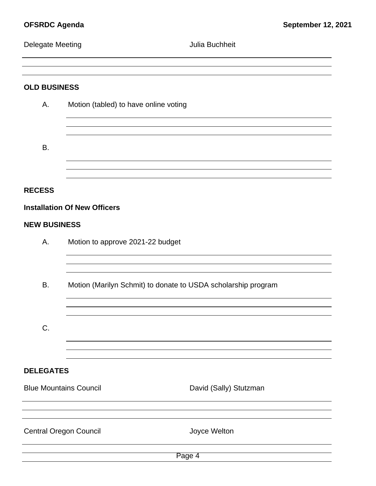## Delegate Meeting **Delegate Meeting Julia Buchheit**

**OLD BUSINESS**

# A. Motion (tabled) to have online voting B. **RECESS Installation Of New Officers NEW BUSINESS** A. Motion to approve 2021-22 budget B. Motion (Marilyn Schmit) to donate to USDA scholarship program C. **DELEGATES** Blue Mountains Council **David (Sally)** Stutzman Central Oregon Council **CENTER SERVICE CONTROL** Joyce Welton

Page 4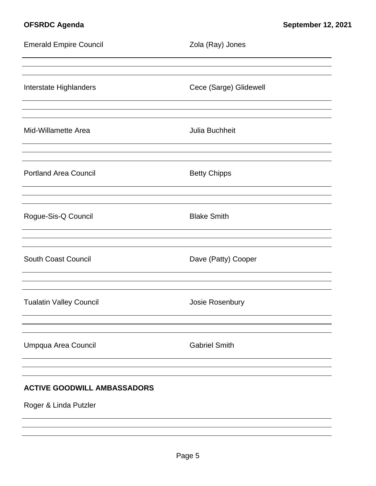| <b>Emerald Empire Council</b>      | Zola (Ray) Jones       |
|------------------------------------|------------------------|
| Interstate Highlanders             | Cece (Sarge) Glidewell |
| Mid-Willamette Area                | Julia Buchheit         |
| <b>Portland Area Council</b>       | <b>Betty Chipps</b>    |
| Rogue-Sis-Q Council                | <b>Blake Smith</b>     |
| <b>South Coast Council</b>         | Dave (Patty) Cooper    |
| <b>Tualatin Valley Council</b>     | Josie Rosenbury        |
| Umpqua Area Council                | <b>Gabriel Smith</b>   |
| <b>ACTIVE GOODWILL AMBASSADORS</b> |                        |
| Roger & Linda Putzler              |                        |